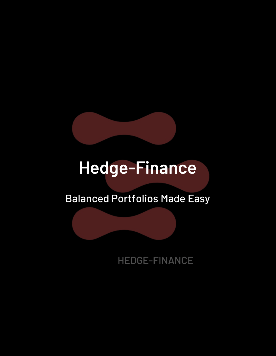

# **Hedge-Finance**

# Balanced Portfolios Made Easy

HEDGE-FINANCE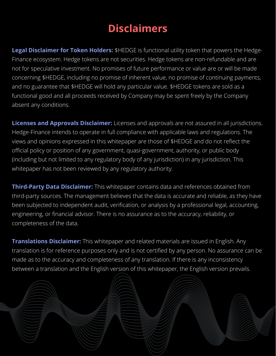### **Disclaimers**

**Legal Disclaimer for Token Holders:** \$HEDGE is functional utility token that powers the Hedge-Finance ecosystem. Hedge tokens are not securities. Hedge tokens are non-refundable and are not for speculative investment. No promises of future performance or value are or will be made concerning \$HEDGE, including no promise of inherent value, no promise of continuing payments, and no guarantee that \$HEDGE will hold any particular value. \$HEDGE tokens are sold as a functional good and all proceeds received by Company may be spent freely by the Company absent any conditions.

**Licenses and Approvals Disclaimer:** Licenses and approvals are not assured in all jurisdictions. Hedge-Finance intends to operate in full compliance with applicable laws and regulations. The views and opinions expressed in this whitepaper are those of \$HEDGE and do not reflect the official policy or position of any government, quasi-government, authority, or public body (including but not limited to any regulatory body of any jurisdiction) in any jurisdiction. This whitepaper has not been reviewed by any regulatory authority.

**Third-Party Data Disclaimer:** This whitepaper contains data and references obtained from third-party sources. The management believes that the data is accurate and reliable, as they have been subjected to independent audit, verification, or analysis by a professional legal, accounting, engineering, or financial advisor. There is no assurance as to the accuracy, reliability, or completeness of the data.

**Translations Disclaimer:** This whitepaper and related materials are issued in English. Any translation is for reference purposes only and is not certified by any person. No assurance can be made as to the accuracy and completeness of any translation. If there is any inconsistency between a translation and the English version of this whitepaper, the English version prevails.

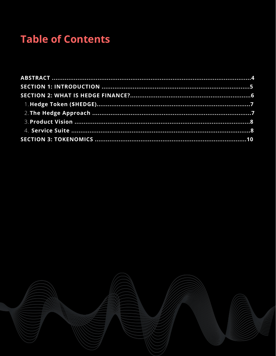## **Table of Contents**

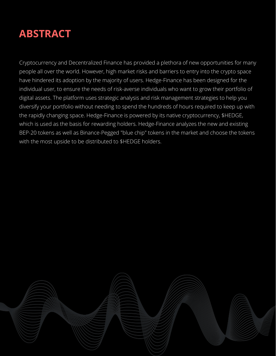

Cryptocurrency and Decentralized Finance has provided a plethora of new opportunities for many people all over the world. However, high market risks and barriers to entry into the crypto space have hindered its adoption by the majority of users. Hedge-Finance has been designed for the individual user, to ensure the needs of risk-averse individuals who want to grow their portfolio of digital assets. The platform uses strategic analysis and risk management strategies to help you diversify your portfolio without needing to spend the hundreds of hours required to keep up with the rapidly changing space. Hedge-Finance is powered by its native cryptocurrency, \$HEDGE, which is used as the basis for rewarding holders. Hedge-Finance analyzes the new and existing BEP-20 tokens as well as Binance-Pegged "blue chip" tokens in the market and choose the tokens with the most upside to be distributed to \$HEDGE holders.

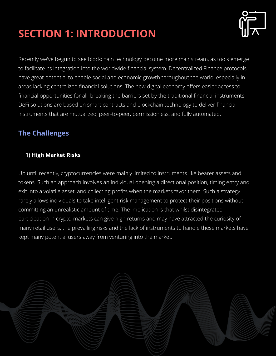# **SECTION 1: INTRODUCTION**



Recently we've begun to see blockchain technology become more mainstream, as tools emerge to facilitate its integration into the worldwide financial system. Decentralized Finance protocols have great potential to enable social and economic growth throughout the world, especially in areas lacking centralized financial solutions. The new digital economy offers easier access to financial opportunities for all, breaking the barriers set by the traditional financial instruments. DeFi solutions are based on smart contracts and blockchain technology to deliver financial instruments that are mutualized, peer-to-peer, permissionless, and fully automated.

### **The Challenges**

### **1) High Market Risks**

Up until recently, cryptocurrencies were mainly limited to instruments like bearer assets and tokens. Such an approach involves an individual opening a directional position, timing entry and exit into a volatile asset, and collecting profits when the markets favor them. Such a strategy rarely allows individuals to take intelligent risk management to protect their positions without committing an unrealistic amount of time. The implication is that whilst disintegrated participation in crypto-markets can give high returns and may have attracted the curiosity of many retail users, the prevailing risks and the lack of instruments to handle these markets have kept many potential users away from venturing into the market.

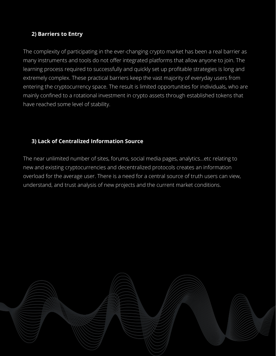#### **2) Barriers to Entry**

The complexity of participating in the ever-changing crypto market has been a real barrier as many instruments and tools do not offer integrated platforms that allow anyone to join. The learning process required to successfully and quickly set up profitable strategies is long and extremely complex. These practical barriers keep the vast majority of everyday users from entering the cryptocurrency space. The result is limited opportunities for individuals, who are mainly confined to a rotational investment in crypto assets through established tokens that have reached some level of stability.

### **3) Lack of Centralized Information Source**

The near unlimited number of sites, forums, social media pages, analytics...etc relating to new and existing cryptocurrencies and decentralized protocols creates an information overload for the average user. There is a need for a central source of truth users can view, understand, and trust analysis of new projects and the current market conditions.

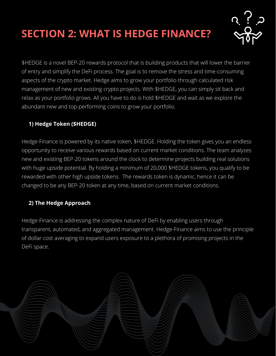# **SECTION 2: WHAT IS HEDGE FINANCE?**



\$HEDGE is a novel BEP-20 rewards protocol that is building products that will lower the barrier of entry and simplify the DeFi process. The goal is to remove the stress and time-consuming aspects of the crypto market. Hedge aims to grow your portfolio through calculated risk management of new and existing crypto projects. With \$HEDGE, you can simply sit back and relax as your portfolio grows. All you have to do is hold \$HEDGE and wait as we explore the abundant new and top-performing coins to grow your portfolio.

### **1) Hedge Token (\$HEDGE)**

Hedge-Finance is powered by its native token, \$HEDGE. Holding the token gives you an endless opportunity to receive various rewards based on current market conditions. The team analyzes new and existing BEP-20 tokens around the clock to determine projects building real solutions with huge upside potential. By holding a minimum of 20,000 \$HEDGE tokens, you qualify to be rewarded with other high upside tokens. The rewards token is dynamic, hence it can be changed to be any BEP-20 token at any time, based on current market conditions.

### **2) The Hedge Approach**

Hedge-Finance is addressing the complex nature of DeFi by enabling users through transparent, automated, and aggregated management. Hedge-Finance aims to use the principle of dollar cost averaging to expand users exposure to a plethora of promising projects in the DeFi space.

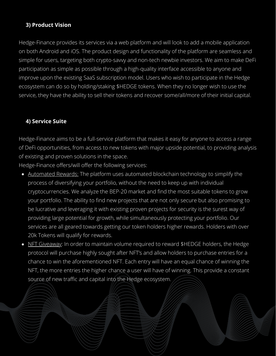#### **3) Product Vision**

Hedge-Finance provides its services via a web platform and will look to add a mobile application on both Android and iOS. The product design and functionality of the platform are seamless and simple for users, targeting both crypto-savvy and non-tech newbie investors. We aim to make DeFi participation as simple as possible through a high-quality interface accessible to anyone and improve upon the existing SaaS subscription model. Users who wish to participate in the Hedge ecosystem can do so by holding/staking \$HEDGE tokens. When they no longer wish to use the service, they have the ability to sell their tokens and recover some/all/more of their initial capital.

#### **4) Service Suite**

Hedge-Finance aims to be a full-service platform that makes it easy for anyone to access a range of DeFi opportunities, from access to new tokens with major upside potential, to providing analysis of existing and proven solutions in the space.

Hedge-Finance offers/will offer the following services:

- Automated Rewards: The platform uses automated blockchain technology to simplify the process of diversifying your portfolio, without the need to keep up with individual cryptocurrencies. We analyze the BEP-20 market and find the most suitable tokens to grow your portfolio. The ability to find new projects that are not only secure but also promising to be lucrative and leveraging it with existing proven projects for security is the surest way of providing large potential for growth, while simultaneously protecting your portfolio. Our services are all geared towards getting our token holders higher rewards. Holders with over 20k Tokens will qualify for rewards.
- NFT Giveaway: In order to maintain volume required to reward \$HEDGE holders, the Hedge protocol will purchase highly sought after NFT's and allow holders to purchase entries for a chance to win the aforementioned NFT. Each entry will have an equal chance of winning the NFT, the more entries the higher chance a user will have of winning. This provide a constant source of new traffic and capital into the Hedge ecosystem.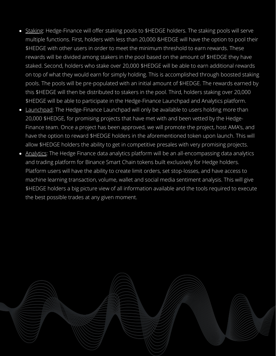- Staking: Hedge-Finance will offer staking pools to \$HEDGE holders. The staking pools will serve multiple functions. First, holders with less than 20,000 &HEDGE will have the option to pool their \$HEDGE with other users in order to meet the minimum threshold to earn rewards. These rewards will be divided among stakers in the pool based on the amount of \$HEDGE they have staked. Second, holders who stake over 20,000 \$HEDGE will be able to earn additional rewards on top of what they would earn for simply holding. This is accomplished through boosted staking pools. The pools will be pre-populated with an initial amount of \$HEDGE. The rewards earned by this \$HEDGE will then be distributed to stakers in the pool. Third, holders staking over 20,000 \$HEDGE will be able to participate in the Hedge-Finance Launchpad and Analytics platform.
- Launchpad: The Hedge-Finance Launchpad will only be available to users holding more than 20,000 \$HEDGE, for promising projects that have met with and been vetted by the Hedge-Finance team. Once a project has been approved, we will promote the project, host AMA's, and have the option to reward \$HEDGE holders in the aforementioned token upon launch. This will allow \$HEDGE holders the ability to get in competitive presales with very promising projects.
- Analytics: The Hedge Finance data analytics platform will be an all-encompassing data analytics and trading platform for Binance Smart Chain tokens built exclusively for Hedge holders. Platform users will have the ability to create limit orders, set stop-losses, and have access to machine learning transaction, volume, wallet and social media sentiment analysis. This will give \$HEDGE holders a big picture view of all information available and the tools required to execute the best possible trades at any given moment.

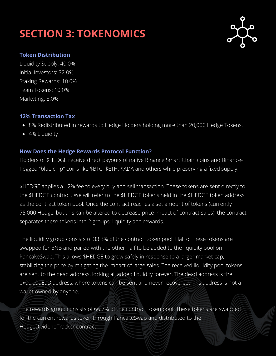### **SECTION 3: TOKENOMICS**



#### **Token Distribution**

Liquidity Supply: 40.0% Initial Investors: 32.0% Staking Rewards: 10.0% Team Tokens: 10.0% Marketing: 8.0%

#### **12% Transaction Tax**

- 8% Redistributed in rewards to Hedge Holders holding more than 20,000 Hedge Tokens.
- 4% Liquidity

#### **How Does the Hedge Rewards Protocol Function?**

Holders of \$HEDGE receive direct payouts of native Binance Smart Chain coins and Binance-Pegged "blue chip" coins like \$BTC, \$ETH, \$ADA and others while preserving a fixed supply.

\$HEDGE applies a 12% fee to every buy and sell transaction. These tokens are sent directly to the \$HEDGE contract. We will refer to the \$HEDGE tokens held in the \$HEDGE token address as the contract token pool. Once the contract reaches a set amount of tokens (currently 75,000 Hedge, but this can be altered to decrease price impact of contract sales), the contract separates these tokens into 2 groups: liquidity and rewards.

The liquidity group consists of 33.3% of the contract token pool. Half of these tokens are swapped for BNB and paired with the other half to be added to the liquidity pool on PancakeSwap. This allows \$HEDGE to grow safely in response to a larger market cap, stabilizing the price by mitigating the impact of large sales. The received liquidity pool tokens are sent to the dead address, locking all added liquidity forever. The dead address is the 0x00...0dEaD address, where tokens can be sent and never recovered. This address is not a wallet owned by anyone.

The rewards group consists of 66.7% of the contract token pool. These tokens are swapped for the current rewards token through PancakeSwap and distributed to the HedgeDividendTracker contract.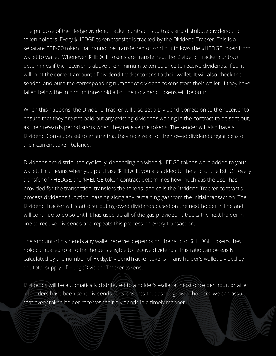The purpose of the HedgeDividendTracker contract is to track and distribute dividends to token holders. Every \$HEDGE token transfer is tracked by the Dividend Tracker. This is a separate BEP-20 token that cannot be transferred or sold but follows the \$HEDGE token from wallet to wallet. Whenever \$HEDGE tokens are transferred, the Dividend Tracker contract determines if the receiver is above the minimum token balance to receive dividends, if so, it will mint the correct amount of dividend tracker tokens to their wallet. It will also check the sender, and burn the corresponding number of dividend tokens from their wallet. If they have fallen below the minimum threshold all of their dividend tokens will be burnt.

When this happens, the Dividend Tracker will also set a Dividend Correction to the receiver to ensure that they are not paid out any existing dividends waiting in the contract to be sent out, as their rewards period starts when they receive the tokens. The sender will also have a Dividend Correction set to ensure that they receive all of their owed dividends regardless of their current token balance.

Dividends are distributed cyclically, depending on when \$HEDGE tokens were added to your wallet. This means when you purchase \$HEDGE, you are added to the end of the list. On every transfer of \$HEDGE, the \$HEDGE token contract determines how much gas the user has provided for the transaction, transfers the tokens, and calls the Dividend Tracker contract's process dividends function, passing along any remaining gas from the initial transaction. The Dividend Tracker will start distributing owed dividends based on the next holder in line and will continue to do so until it has used up all of the gas provided. It tracks the next holder in line to receive dividends and repeats this process on every transaction.

The amount of dividends any wallet receives depends on the ratio of \$HEDGE Tokens they hold compared to all other holders eligible to receive dividends. This ratio can be easily calculated by the number of HedgeDividendTracker tokens in any holder's wallet divided by the total supply of HedgeDividendTracker tokens.

Dividends will be automatically distributed to a holder's wallet at most once per hour, or after all holders have been sent dividends. This ensures that as we grow in holders, we can assure that every token holder receives their dividends in a timely manner.